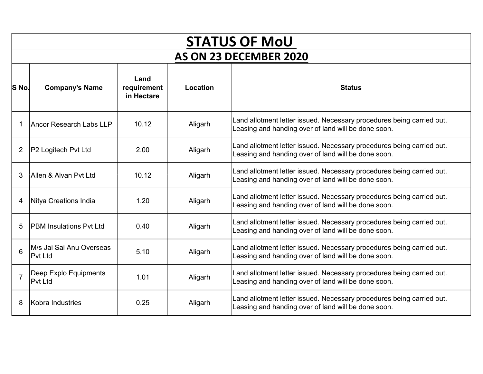|                        | <b>STATUS OF MoU</b>                        |                                   |          |                                                                                                                              |  |  |
|------------------------|---------------------------------------------|-----------------------------------|----------|------------------------------------------------------------------------------------------------------------------------------|--|--|
| AS ON 23 DECEMBER 2020 |                                             |                                   |          |                                                                                                                              |  |  |
| S No.                  | <b>Company's Name</b>                       | Land<br>requirement<br>in Hectare | Location | <b>Status</b>                                                                                                                |  |  |
|                        | Ancor Research Labs LLP                     | 10.12                             | Aligarh  | Land allotment letter issued. Necessary procedures being carried out.<br>Leasing and handing over of land will be done soon. |  |  |
| 2                      | <b>P2 Logitech Pvt Ltd</b>                  | 2.00                              | Aligarh  | Land allotment letter issued. Necessary procedures being carried out.<br>Leasing and handing over of land will be done soon. |  |  |
| 3                      | Allen & Alvan Pvt Ltd                       | 10.12                             | Aligarh  | Land allotment letter issued. Necessary procedures being carried out.<br>Leasing and handing over of land will be done soon. |  |  |
| 4                      | Nitya Creations India                       | 1.20                              | Aligarh  | Land allotment letter issued. Necessary procedures being carried out.<br>Leasing and handing over of land will be done soon. |  |  |
| 5                      | <b>PBM Insulations Pvt Ltd</b>              | 0.40                              | Aligarh  | Land allotment letter issued. Necessary procedures being carried out.<br>Leasing and handing over of land will be done soon. |  |  |
| 6                      | IM/s Jai Sai Anu Overseas<br><b>Pvt Ltd</b> | 5.10                              | Aligarh  | Land allotment letter issued. Necessary procedures being carried out.<br>Leasing and handing over of land will be done soon. |  |  |
| $\overline{7}$         | Deep Explo Equipments<br><b>Pvt Ltd</b>     | 1.01                              | Aligarh  | Land allotment letter issued. Necessary procedures being carried out.<br>Leasing and handing over of land will be done soon. |  |  |
| 8                      | Kobra Industries                            | 0.25                              | Aligarh  | Land allotment letter issued. Necessary procedures being carried out.<br>Leasing and handing over of land will be done soon. |  |  |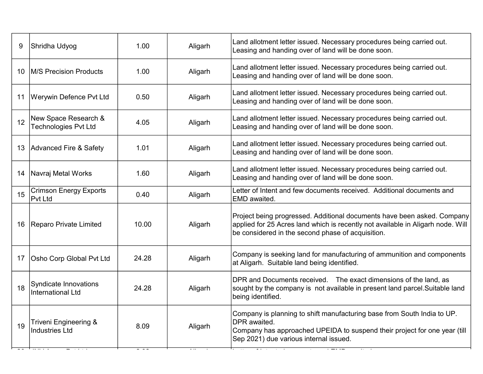| 9  | Shridha Udyog                                       | 1.00  | Aligarh | Land allotment letter issued. Necessary procedures being carried out.<br>Leasing and handing over of land will be done soon.                                                                                    |
|----|-----------------------------------------------------|-------|---------|-----------------------------------------------------------------------------------------------------------------------------------------------------------------------------------------------------------------|
| 10 | <b>IM/S Precision Products</b>                      | 1.00  | Aligarh | Land allotment letter issued. Necessary procedures being carried out.<br>Leasing and handing over of land will be done soon.                                                                                    |
| 11 | <b>Werywin Defence Pvt Ltd</b>                      | 0.50  | Aligarh | Land allotment letter issued. Necessary procedures being carried out.<br>Leasing and handing over of land will be done soon.                                                                                    |
| 12 | New Space Research &<br><b>Technologies Pvt Ltd</b> | 4.05  | Aligarh | Land allotment letter issued. Necessary procedures being carried out.<br>Leasing and handing over of land will be done soon.                                                                                    |
| 13 | Advanced Fire & Safety                              | 1.01  | Aligarh | Land allotment letter issued. Necessary procedures being carried out.<br>Leasing and handing over of land will be done soon.                                                                                    |
| 14 | Navraj Metal Works                                  | 1.60  | Aligarh | Land allotment letter issued. Necessary procedures being carried out.<br>Leasing and handing over of land will be done soon.                                                                                    |
| 15 | <b>Crimson Energy Exports</b><br><b>Pvt Ltd</b>     | 0.40  | Aligarh | Letter of Intent and few documents received. Additional documents and<br>EMD awaited.                                                                                                                           |
| 16 | Reparo Private Limited                              | 10.00 | Aligarh | Project being progressed. Additional documents have been asked. Company<br>applied for 25 Acres land which is recently not available in Aligarh node. Will<br>be considered in the second phase of acquisition. |
| 17 | Osho Corp Global Pvt Ltd                            | 24.28 | Aligarh | Company is seeking land for manufacturing of ammunition and components<br>at Aligarh. Suitable land being identified.                                                                                           |
| 18 | Syndicate Innovations<br><b>International Ltd</b>   | 24.28 | Aligarh | DPR and Documents received. The exact dimensions of the land, as<br>sought by the company is not available in present land parcel. Suitable land<br>being identified.                                           |
| 19 | Triveni Engineering &<br><b>Industries Ltd</b>      | 8.09  | Aligarh | Company is planning to shift manufacturing base from South India to UP.<br>DPR awaited.<br>Company has approached UPEIDA to suspend their project for one year (till<br>Sep 2021) due various internal issued.  |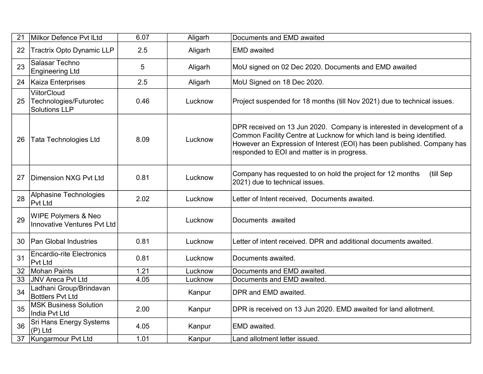| 21 | Milkor Defence Pvt ILtd                                              | 6.07 | Aligarh | Documents and EMD awaited                                                                                                                                                                                                                                                 |
|----|----------------------------------------------------------------------|------|---------|---------------------------------------------------------------------------------------------------------------------------------------------------------------------------------------------------------------------------------------------------------------------------|
| 22 | <b>Tractrix Opto Dynamic LLP</b>                                     | 2.5  | Aligarh | <b>EMD</b> awaited                                                                                                                                                                                                                                                        |
| 23 | Salasar Techno<br><b>Engineering Ltd</b>                             | 5    | Aligarh | MoU signed on 02 Dec 2020. Documents and EMD awaited                                                                                                                                                                                                                      |
| 24 | Kaiza Enterprises                                                    | 2.5  | Aligarh | MoU Signed on 18 Dec 2020.                                                                                                                                                                                                                                                |
| 25 | <b>ViitorCloud</b><br>Technologies/Futurotec<br><b>Solutions LLP</b> | 0.46 | Lucknow | Project suspended for 18 months (till Nov 2021) due to technical issues.                                                                                                                                                                                                  |
| 26 | <b>Tata Technologies Ltd</b>                                         | 8.09 | Lucknow | DPR received on 13 Jun 2020. Company is interested in development of a<br>Common Facility Centre at Lucknow for which land is being identified.<br>However an Expression of Interest (EOI) has been published. Company has<br>responded to EOI and matter is in progress. |
| 27 | Dimension NXG Pvt Ltd                                                | 0.81 | Lucknow | Company has requested to on hold the project for 12 months<br>(till Sep<br>2021) due to technical issues.                                                                                                                                                                 |
| 28 | Alphasine Technologies<br>Pvt Ltd                                    | 2.02 | Lucknow | Letter of Intent received, Documents awaited.                                                                                                                                                                                                                             |
| 29 | <b>WIPE Polymers &amp; Neo</b><br>Innovative Ventures Pvt Ltd        |      | Lucknow | Documents awaited                                                                                                                                                                                                                                                         |
| 30 | <b>Pan Global Industries</b>                                         | 0.81 | Lucknow | Letter of intent received. DPR and additional documents awaited.                                                                                                                                                                                                          |
| 31 | <b>Encardio-rite Electronics</b><br><b>Pvt Ltd</b>                   | 0.81 | Lucknow | Documents awaited.                                                                                                                                                                                                                                                        |
| 32 | Mohan Paints                                                         | 1.21 | Lucknow | Documents and EMD awaited.                                                                                                                                                                                                                                                |
| 33 | JNV Areca Pvt Ltd                                                    | 4.05 | Lucknow | Documents and EMD awaited.                                                                                                                                                                                                                                                |
| 34 | Ladhani Group/Brindavan<br><b>Bottlers Pvt Ltd</b>                   |      | Kanpur  | DPR and EMD awaited.                                                                                                                                                                                                                                                      |
| 35 | <b>MSK Business Solution</b><br>India Pvt Ltd                        | 2.00 | Kanpur  | DPR is received on 13 Jun 2020. EMD awaited for land allotment.                                                                                                                                                                                                           |
| 36 | <b>Sri Hans Energy Systems</b><br>$(P)$ Ltd                          | 4.05 | Kanpur  | EMD awaited.                                                                                                                                                                                                                                                              |
| 37 | Kungarmour Pvt Ltd                                                   | 1.01 | Kanpur  | Land allotment letter issued.                                                                                                                                                                                                                                             |